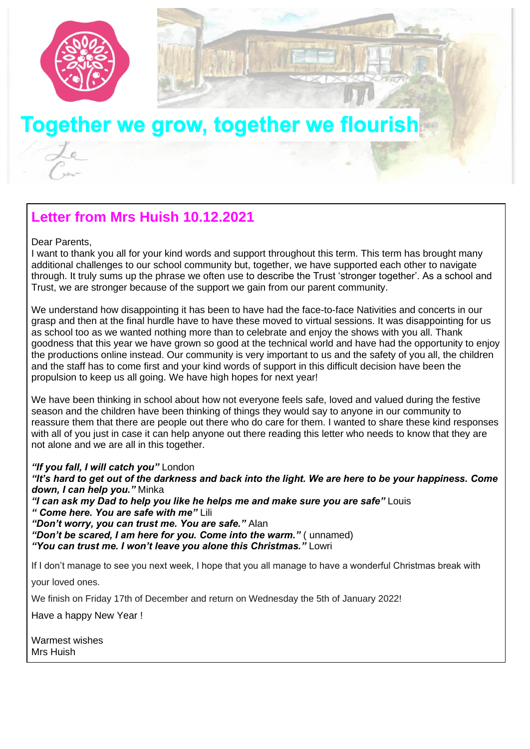

# Together we grow, together we flourish

## **Letter from Mrs Huish 10.12.2021**

#### Dear Parents,

I want to thank you all for your kind words and support throughout this term. This term has brought many additional challenges to our school community but, together, we have supported each other to navigate through. It truly sums up the phrase we often use to describe the Trust 'stronger together'. As a school and Trust, we are stronger because of the support we gain from our parent community.

We understand how disappointing it has been to have had the face-to-face Nativities and concerts in our grasp and then at the final hurdle have to have these moved to virtual sessions. It was disappointing for us as school too as we wanted nothing more than to celebrate and enjoy the shows with you all. Thank goodness that this year we have grown so good at the technical world and have had the opportunity to enjoy the productions online instead. Our community is very important to us and the safety of you all, the children and the staff has to come first and your kind words of support in this difficult decision have been the propulsion to keep us all going. We have high hopes for next year!

We have been thinking in school about how not everyone feels safe, loved and valued during the festive season and the children have been thinking of things they would say to anyone in our community to reassure them that there are people out there who do care for them. I wanted to share these kind responses with all of you just in case it can help anyone out there reading this letter who needs to know that they are not alone and we are all in this together.

*"If you fall, I will catch you"* London *"It's hard to get out of the darkness and back into the light. We are here to be your happiness. Come down, I can help you."* Minka *"I can ask my Dad to help you like he helps me and make sure you are safe"* Louis *" Come here. You are safe with me"* Lili *"Don't worry, you can trust me. You are safe."* Alan "Don't be scared, I am here for you. Come into the warm." (unnamed) *"You can trust me. I won't leave you alone this Christmas."* Lowri If I don't manage to see you next week, I hope that you all manage to have a wonderful Christmas break with

your loved ones.

We finish on Friday 17th of December and return on Wednesday the 5th of January 2022!

Have a happy New Year !

Warmest wishes Mrs Huish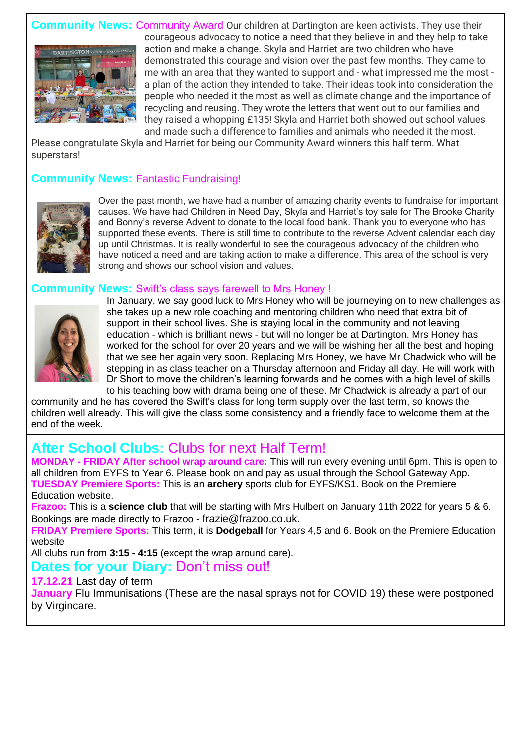



courageous advocacy to notice a need that they believe in and they help to take action and make a change. Skyla and Harriet are two children who have demonstrated this courage and vision over the past few months. They came to me with an area that they wanted to support and - what impressed me the most a plan of the action they intended to take. Their ideas took into consideration the people who needed it the most as well as climate change and the importance of recycling and reusing. They wrote the letters that went out to our families and they raised a whopping £135! Skyla and Harriet both showed out school values and made such a difference to families and animals who needed it the most.

Please congratulate Skyla and Harriet for being our Community Award winners this half term. What superstars!

#### **Community News:** Fantastic Fundraising!



Over the past month, we have had a number of amazing charity events to fundraise for important causes. We have had Children in Need Day, Skyla and Harriet's toy sale for The Brooke Charity and Bonny's reverse Advent to donate to the local food bank. Thank you to everyone who has supported these events. There is still time to contribute to the reverse Advent calendar each day up until Christmas. It is really wonderful to see the courageous advocacy of the children who have noticed a need and are taking action to make a difference. This area of the school is very strong and shows our school vision and values.

#### **Community News:** Swift's class says farewell to Mrs Honey !



In January, we say good luck to Mrs Honey who will be journeying on to new challenges as she takes up a new role coaching and mentoring children who need that extra bit of support in their school lives. She is staying local in the community and not leaving education - which is brilliant news - but will no longer be at Dartington. Mrs Honey has worked for the school for over 20 years and we will be wishing her all the best and hoping that we see her again very soon. Replacing Mrs Honey, we have Mr Chadwick who will be stepping in as class teacher on a Thursday afternoon and Friday all day. He will work with Dr Short to move the children's learning forwards and he comes with a high level of skills to his teaching bow with drama being one of these. Mr Chadwick is already a part of our

community and he has covered the Swift's class for long term supply over the last term, so knows the children well already. This will give the class some consistency and a friendly face to welcome them at the end of the week.

### **After School Clubs:** Clubs for next Half Term!

**MONDAY - FRIDAY After school wrap around care:** This will run every evening until 6pm. This is open to all children from EYFS to Year 6. Please book on and pay as usual through the School Gateway App. **TUESDAY Premiere Sports:** This is an **archery** sports club for EYFS/KS1. Book on the Premiere Education website.

**Frazoo:** This is a **science club** that will be starting with Mrs Hulbert on January 11th 2022 for years 5 & 6. Bookings are made directly to Frazoo - frazie@frazoo.co.uk.

**FRIDAY Premiere Sports:** This term, it is **Dodgeball** for Years 4,5 and 6. Book on the Premiere Education website

All clubs run from **3:15 - 4:15** (except the wrap around care).

### **Dates for your Diary:** Don't miss out!

#### **17.12.21** Last day of term

**January** Flu Immunisations (These are the nasal sprays not for COVID 19) these were postponed by Virgincare.